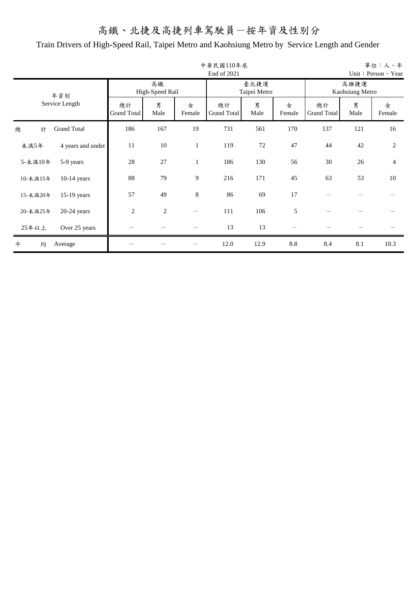|          |                    |                   |                       |              | 中華民國110年底<br>End of 2021 |                      |             |                          |                         | 單位:人、年<br>Unit: Person 、 Year |
|----------|--------------------|-------------------|-----------------------|--------------|--------------------------|----------------------|-------------|--------------------------|-------------------------|-------------------------------|
|          | 年資別                |                   | 高鐵<br>High-Speed Rail |              |                          | 臺北捷運<br>Taipei Metro |             |                          | 高雄捷運<br>Kaohsiung Metro |                               |
|          | Service Length     | 總計<br>Grand Total | 男<br>Male             | 女<br>Female  | 總計<br>Grand Total        | 男<br>Male            | 女<br>Female | 總計<br><b>Grand Total</b> | 男<br>Male               | 女<br>Female                   |
| 總<br>計   | <b>Grand Total</b> | 186               | 167                   | 19           | 731                      | 561                  | 170         | 137                      | 121                     | 16                            |
| 未滿5年     | 4 years and under  | 11                | 10                    | $\mathbf{1}$ | 119                      | 72                   | 47          | 44                       | 42                      | $\overline{2}$                |
| 5-未滿10年  | 5-9 years          | 28                | 27                    | 1            | 186                      | 130                  | 56          | 30                       | 26                      | $\overline{4}$                |
| 10-未滿15年 | $10-14$ years      | 88                | 79                    | 9            | 216                      | 171                  | 45          | 63                       | 53                      | 10                            |
| 15-未滿20年 | 15-19 years        | 57                | 49                    | $\,8\,$      | 86                       | 69                   | 17          |                          |                         |                               |
| 20-未滿25年 | $20-24$ years      | $\overline{2}$    | $\mathfrak{2}$        |              | 111                      | 106                  | 5           |                          |                         |                               |
| 25年以上    | Over 25 years      |                   |                       |              | 13                       | 13                   |             |                          |                         |                               |
| 均<br>平   | Average            |                   |                       |              | 12.0                     | 12.9                 | $8.8\,$     | 8.4                      | 8.1                     | 10.3                          |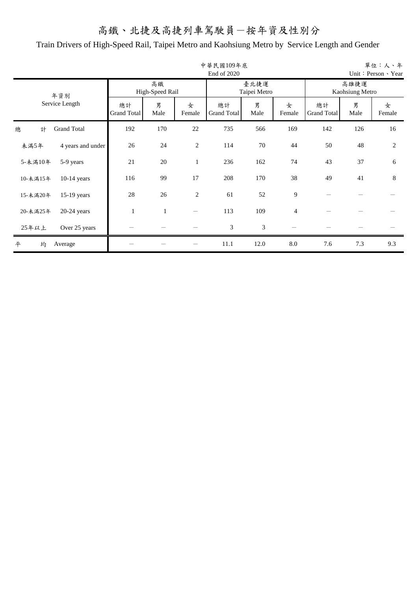|          |                    |                          |                       |                | 中華民國109年底<br>End of 2020 |                      |                |                          |                         | 單位:人、年<br>Unit: Person 、 Year |
|----------|--------------------|--------------------------|-----------------------|----------------|--------------------------|----------------------|----------------|--------------------------|-------------------------|-------------------------------|
|          | 年資別                |                          | 高鐵<br>High-Speed Rail |                |                          | 臺北捷運<br>Taipei Metro |                |                          | 高雄捷運<br>Kaohsiung Metro |                               |
|          | Service Length     | 總計<br><b>Grand Total</b> | 男<br>Male             | 女<br>Female    | 總計<br>Grand Total        | 男<br>Male            | 女<br>Female    | 總計<br><b>Grand Total</b> | 男<br>Male               | 女<br>Female                   |
| 總<br>計   | <b>Grand Total</b> | 192                      | 170                   | 22             | 735                      | 566                  | 169            | 142                      | 126                     | 16                            |
| 未滿5年     | 4 years and under  | 26                       | 24                    | $\mathfrak{2}$ | 114                      | 70                   | 44             | 50                       | 48                      | $\overline{2}$                |
| 5-未滿10年  | 5-9 years          | 21                       | 20                    | 1              | 236                      | 162                  | 74             | 43                       | 37                      | 6                             |
| 10-未滿15年 | $10-14$ years      | 116                      | 99                    | 17             | 208                      | 170                  | 38             | 49                       | 41                      | 8                             |
| 15-未滿20年 | $15-19$ years      | 28                       | 26                    | $\mathfrak{2}$ | 61                       | 52                   | 9              |                          |                         |                               |
| 20-未滿25年 | $20-24$ years      |                          | 1                     |                | 113                      | 109                  | $\overline{4}$ |                          |                         |                               |
| 25年以上    | Over 25 years      |                          |                       |                | 3                        | 3                    |                |                          |                         |                               |
| 均<br>平   | Average            |                          |                       |                | 11.1                     | 12.0                 | $\rm 8.0$      | 7.6                      | 7.3                     | 9.3                           |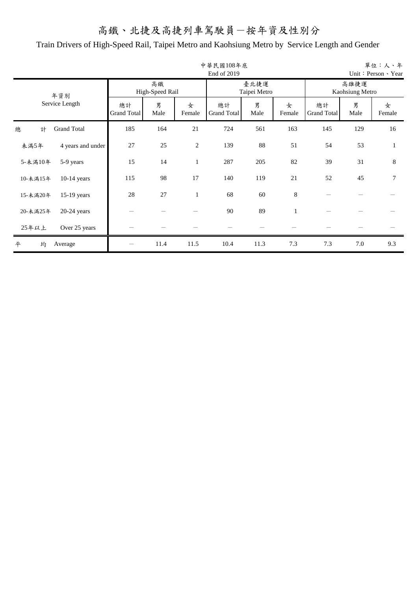|          |                    |                          |                       |                | 中華民國108年底<br>End of 2019 |                      |             |                          |                         | 單位:人、年<br>Unit: Person 、 Year |
|----------|--------------------|--------------------------|-----------------------|----------------|--------------------------|----------------------|-------------|--------------------------|-------------------------|-------------------------------|
|          | 年資別                |                          | 高鐵<br>High-Speed Rail |                |                          | 臺北捷運<br>Taipei Metro |             |                          | 高雄捷運<br>Kaohsiung Metro |                               |
|          | Service Length     | 總計<br><b>Grand Total</b> | 男<br>Male             | 女<br>Female    | 總計<br>Grand Total        | 男<br>Male            | 女<br>Female | 總計<br><b>Grand Total</b> | 男<br>Male               | 女<br>Female                   |
| 總<br>計   | <b>Grand Total</b> | 185                      | 164                   | 21             | 724                      | 561                  | 163         | 145                      | 129                     | 16                            |
| 未滿5年     | 4 years and under  | 27                       | 25                    | $\mathfrak{2}$ | 139                      | 88                   | 51          | 54                       | 53                      | 1                             |
| 5-未満10年  | 5-9 years          | 15                       | 14                    | $\mathbf{1}$   | 287                      | 205                  | 82          | 39                       | 31                      | 8                             |
| 10-未滿15年 | $10-14$ years      | 115                      | 98                    | 17             | 140                      | 119                  | 21          | 52                       | 45                      | 7                             |
| 15-未滿20年 | $15-19$ years      | 28                       | 27                    | $\mathbf{1}$   | 68                       | 60                   | $\,8\,$     |                          |                         |                               |
| 20-未滿25年 | $20-24$ years      |                          |                       |                | 90                       | 89                   | 1           |                          |                         |                               |
| 25年以上    | Over 25 years      |                          |                       |                |                          |                      |             |                          |                         |                               |
| 均<br>平   | Average            |                          | 11.4                  | 11.5           | 10.4                     | 11.3                 | 7.3         | 7.3                      | 7.0                     | 9.3                           |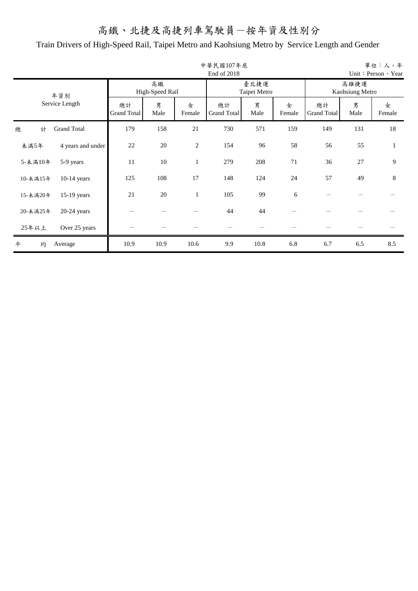|          |                    |                          |                       |                | 中華民國107年底<br>End of 2018 |                      |             |                          |                         | 單位:人、年<br>Unit: Person 、 Year |
|----------|--------------------|--------------------------|-----------------------|----------------|--------------------------|----------------------|-------------|--------------------------|-------------------------|-------------------------------|
|          | 年資別                |                          | 高鐵<br>High-Speed Rail |                |                          | 臺北捷運<br>Taipei Metro |             |                          | 高雄捷運<br>Kaohsiung Metro |                               |
|          | Service Length     | 總計<br><b>Grand Total</b> | 男<br>Male             | 女<br>Female    | 總計<br>Grand Total        | 男<br>Male            | 女<br>Female | 總計<br><b>Grand Total</b> | 男<br>Male               | 女<br>Female                   |
| 總<br>計   | <b>Grand Total</b> | 179                      | 158                   | 21             | 730                      | 571                  | 159         | 149                      | 131                     | 18                            |
| 未滿5年     | 4 years and under  | 22                       | 20                    | $\mathfrak{2}$ | 154                      | 96                   | 58          | 56                       | 55                      | 1                             |
| 5-未満10年  | 5-9 years          | 11                       | 10                    | $\mathbf{1}$   | 279                      | 208                  | 71          | 36                       | 27                      | 9                             |
| 10-未滿15年 | $10-14$ years      | 125                      | 108                   | 17             | 148                      | 124                  | 24          | 57                       | 49                      | 8                             |
| 15-未滿20年 | 15-19 years        | 21                       | 20                    | $\mathbf{1}$   | 105                      | 99                   | 6           |                          |                         |                               |
| 20-未滿25年 | $20-24$ years      |                          |                       |                | 44                       | 44                   |             |                          |                         |                               |
| 25年以上    | Over 25 years      |                          |                       |                |                          |                      |             |                          |                         |                               |
| 均<br>平   | Average            | 10.9                     | 10.9                  | 10.6           | 9.9                      | 10.8                 | 6.8         | 6.7                      | 6.5                     | 8.5                           |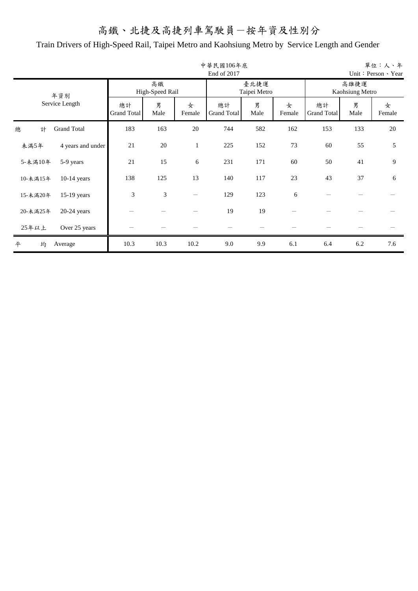|          |                    |                   |                       |              | 中華民國106年底<br>End of 2017 |                      |             |                          |           | 單位:人、年<br>Unit: Person 、 Year |  |
|----------|--------------------|-------------------|-----------------------|--------------|--------------------------|----------------------|-------------|--------------------------|-----------|-------------------------------|--|
|          | 年資別                |                   | 高鐵<br>High-Speed Rail |              |                          | 臺北捷運<br>Taipei Metro |             | 高雄捷運<br>Kaohsiung Metro  |           |                               |  |
|          | Service Length     | 總計<br>Grand Total | 男<br>Male             | 女<br>Female  | 總計<br>Grand Total        | 男<br>Male            | 女<br>Female | 總計<br><b>Grand Total</b> | 男<br>Male | 女<br>Female                   |  |
| 總<br>計   | <b>Grand Total</b> | 183               | 163                   | 20           | 744                      | 582                  | 162         | 153                      | 133       | 20                            |  |
| 未滿5年     | 4 years and under  | 21                | 20                    | $\mathbf{1}$ | 225                      | 152                  | 73          | 60                       | 55        | 5                             |  |
| 5-未満10年  | 5-9 years          | 21                | 15                    | 6            | 231                      | 171                  | 60          | 50                       | 41        | 9                             |  |
| 10-未滿15年 | $10-14$ years      | 138               | 125                   | 13           | 140                      | 117                  | 23          | 43                       | 37        | 6                             |  |
| 15-未滿20年 | 15-19 years        | 3                 | 3                     |              | 129                      | 123                  | 6           |                          |           |                               |  |
| 20-未滿25年 | $20-24$ years      |                   |                       |              | 19                       | 19                   |             |                          |           |                               |  |
| 25年以上    | Over 25 years      |                   |                       |              |                          |                      |             |                          |           |                               |  |
| 均<br>平   | Average            | 10.3              | 10.3                  | 10.2         | 9.0                      | 9.9                  | 6.1         | 6.4                      | 6.2       | 7.6                           |  |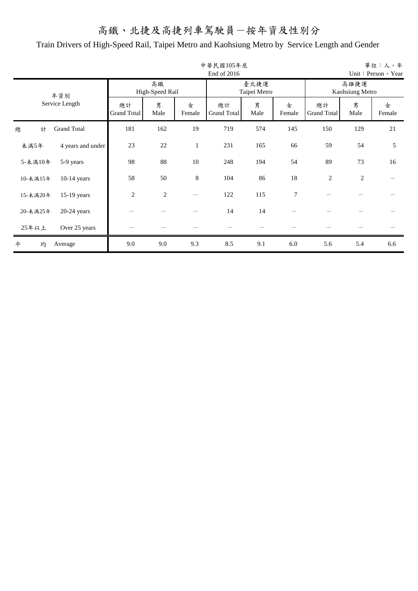|          |                    |                   |                       |              | 中華民國105年底<br>End of 2016 |                      |             |                          |                         | 單位:人、年<br>Unit: Person 、 Year |
|----------|--------------------|-------------------|-----------------------|--------------|--------------------------|----------------------|-------------|--------------------------|-------------------------|-------------------------------|
|          | 年資別                |                   | 高鐵<br>High-Speed Rail |              |                          | 臺北捷運<br>Taipei Metro |             |                          | 高雄捷運<br>Kaohsiung Metro |                               |
|          | Service Length     | 總計<br>Grand Total | 男<br>Male             | 女<br>Female  | 總計<br>Grand Total        | 男<br>Male            | 女<br>Female | 總計<br><b>Grand Total</b> | 男<br>Male               | 女<br>Female                   |
| 總<br>計   | <b>Grand Total</b> | 181               | 162                   | 19           | 719                      | 574                  | 145         | 150                      | 129                     | 21                            |
| 未滿5年     | 4 years and under  | 23                | 22                    | $\mathbf{1}$ | 231                      | 165                  | 66          | 59                       | 54                      | 5                             |
| 5-未満10年  | 5-9 years          | 98                | 88                    | 10           | 248                      | 194                  | 54          | 89                       | 73                      | 16                            |
| 10-未滿15年 | $10-14$ years      | 58                | 50                    | $\,8\,$      | 104                      | 86                   | 18          | $\overline{2}$           | 2                       |                               |
| 15-未滿20年 | $15-19$ years      | $\overline{2}$    | $\overline{2}$        |              | 122                      | 115                  | 7           |                          |                         |                               |
| 20-未滿25年 | $20-24$ years      |                   |                       |              | 14                       | 14                   |             |                          |                         |                               |
| 25年以上    | Over 25 years      |                   |                       |              |                          |                      |             |                          |                         |                               |
| 均<br>平   | Average            | 9.0               | 9.0                   | 9.3          | 8.5                      | 9.1                  | 6.0         | 5.6                      | 5.4                     | 6.6                           |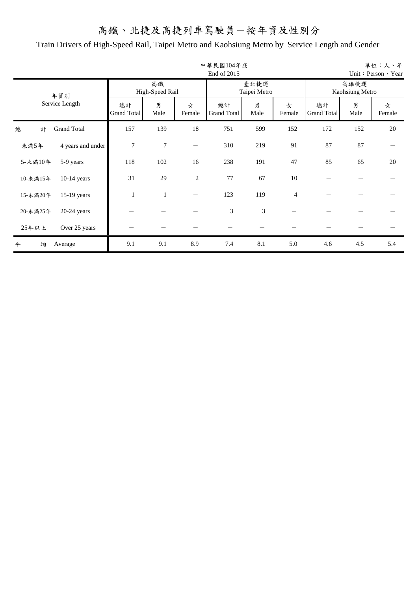|          |                    |                   |                       |                          | 中華民國104年底<br>End of 2015 |                      |                |                          |                         | 單位:人、年<br>Unit: Person 、 Year |
|----------|--------------------|-------------------|-----------------------|--------------------------|--------------------------|----------------------|----------------|--------------------------|-------------------------|-------------------------------|
|          | 年資別                |                   | 高鐵<br>High-Speed Rail |                          |                          | 臺北捷運<br>Taipei Metro |                |                          | 高雄捷運<br>Kaohsiung Metro |                               |
|          | Service Length     | 總計<br>Grand Total | 男<br>Male             | 女<br>Female              | 總計<br><b>Grand Total</b> | 男<br>Male            | 女<br>Female    | 總計<br><b>Grand Total</b> | 男<br>Male               | 女<br>Female                   |
| 總<br>計   | <b>Grand Total</b> | 157               | 139                   | 18                       | 751                      | 599                  | 152            | 172                      | 152                     | 20                            |
| 未滿5年     | 4 years and under  | 7                 | 7                     | $\overline{\phantom{0}}$ | 310                      | 219                  | 91             | 87                       | 87                      |                               |
| 5-未満10年  | 5-9 years          | 118               | 102                   | 16                       | 238                      | 191                  | 47             | 85                       | 65                      | 20                            |
| 10-未滿15年 | $10-14$ years      | 31                | 29                    | $\overline{2}$           | 77                       | 67                   | 10             |                          |                         |                               |
| 15-未滿20年 | $15-19$ years      |                   | $\mathbf{1}$          |                          | 123                      | 119                  | $\overline{4}$ |                          |                         |                               |
| 20-未滿25年 | $20-24$ years      |                   |                       |                          | 3                        | 3                    |                |                          |                         |                               |
| 25年以上    | Over 25 years      |                   |                       |                          |                          |                      |                |                          |                         |                               |
| 均<br>平   | Average            | 9.1               | 9.1                   | 8.9                      | 7.4                      | 8.1                  | 5.0            | 4.6                      | 4.5                     | 5.4                           |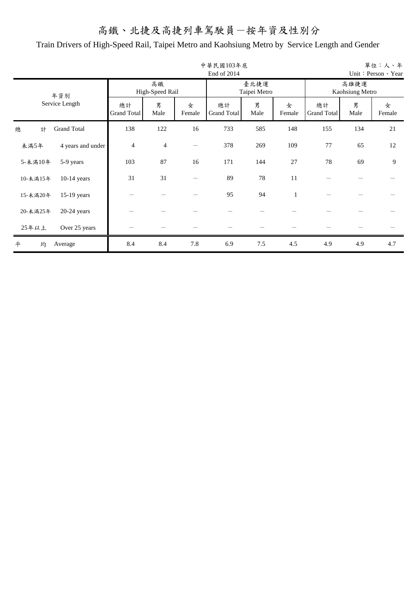|          |                    |                          |                       |             | 中華民國103年底<br>End of 2014 |                      |             |                          |                         | 單位:人、年<br>Unit: Person > Year |
|----------|--------------------|--------------------------|-----------------------|-------------|--------------------------|----------------------|-------------|--------------------------|-------------------------|-------------------------------|
|          | 年資別                |                          | 高鐵<br>High-Speed Rail |             |                          | 臺北捷運<br>Taipei Metro |             |                          | 高雄捷運<br>Kaohsiung Metro |                               |
|          | Service Length     | 總計<br><b>Grand Total</b> | 男<br>Male             | 女<br>Female | 總計<br>Grand Total        | 男<br>Male            | 女<br>Female | 總計<br><b>Grand Total</b> | 男<br>Male               | 女<br>Female                   |
| 總<br>計   | <b>Grand Total</b> | 138                      | 122                   | 16          | 733                      | 585                  | 148         | 155                      | 134                     | 21                            |
| 未滿5年     | 4 years and under  | $\overline{4}$           | $\overline{4}$        |             | 378                      | 269                  | 109         | 77                       | 65                      | 12                            |
| 5-未滿10年  | 5-9 years          | 103                      | 87                    | 16          | 171                      | 144                  | 27          | 78                       | 69                      | 9                             |
| 10-未滿15年 | $10-14$ years      | 31                       | 31                    |             | 89                       | 78                   | 11          |                          |                         |                               |
| 15-未滿20年 | $15-19$ years      |                          |                       |             | 95                       | 94                   | 1           |                          |                         |                               |
| 20-未滿25年 | $20-24$ years      |                          |                       |             |                          |                      |             |                          |                         |                               |
| 25年以上    | Over 25 years      |                          |                       |             |                          |                      |             |                          |                         |                               |
| 均<br>平   | Average            | 8.4                      | 8.4                   | 7.8         | 6.9                      | 7.5                  | 4.5         | 4.9                      | 4.9                     | 4.7                           |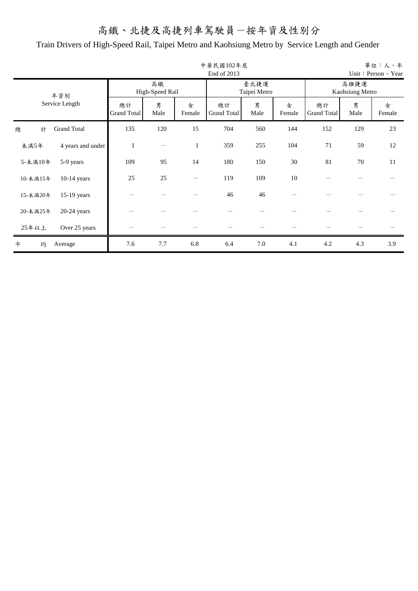|          |                    |                          |                       |              | 中華民國102年底<br>End of 2013 |                      |             |                          |                         | 單位:人、年<br>Unit: Person 、 Year |
|----------|--------------------|--------------------------|-----------------------|--------------|--------------------------|----------------------|-------------|--------------------------|-------------------------|-------------------------------|
|          | 年資別                |                          | 高鐵<br>High-Speed Rail |              |                          | 臺北捷運<br>Taipei Metro |             |                          | 高雄捷運<br>Kaohsiung Metro |                               |
|          | Service Length     | 總計<br><b>Grand Total</b> | 男<br>Male             | 女<br>Female  | 總計<br>Grand Total        | 男<br>Male            | 女<br>Female | 總計<br><b>Grand Total</b> | 男<br>Male               | 女<br>Female                   |
| 計<br>總   | <b>Grand Total</b> | 135                      | 120                   | 15           | 704                      | 560                  | 144         | 152                      | 129                     | 23                            |
| 未滿5年     | 4 years and under  | 1                        |                       | $\mathbf{1}$ | 359                      | 255                  | 104         | 71                       | 59                      | 12                            |
| 5-未滿10年  | 5-9 years          | 109                      | 95                    | 14           | 180                      | 150                  | 30          | 81                       | 70                      | 11                            |
| 10-未滿15年 | $10-14$ years      | 25                       | 25                    |              | 119                      | 109                  | 10          |                          |                         |                               |
| 15-未滿20年 | 15-19 years        |                          |                       |              | 46                       | 46                   |             |                          |                         |                               |
| 20-未滿25年 | $20-24$ years      |                          |                       |              |                          |                      |             |                          |                         |                               |
| 25年以上    | Over 25 years      |                          |                       |              |                          |                      |             |                          |                         |                               |
| 均<br>平   | Average            | 7.6                      | 7.7                   | 6.8          | 6.4                      | 7.0                  | 4.1         | 4.2                      | 4.3                     | 3.9                           |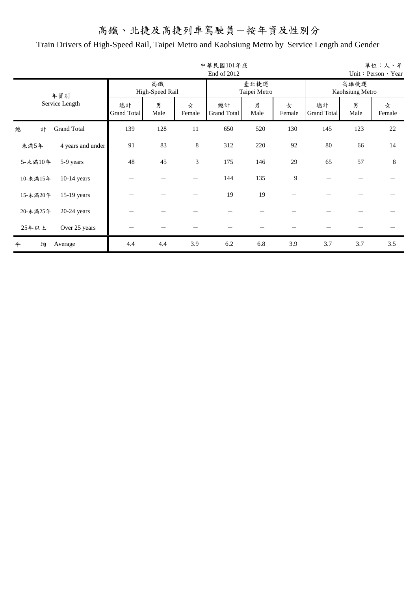|          |                    |                          |                       |             | 中華民國101年底<br>End of 2012 |                      |             |                   |                         | 單位:人、年<br>Unit: Person > Year |
|----------|--------------------|--------------------------|-----------------------|-------------|--------------------------|----------------------|-------------|-------------------|-------------------------|-------------------------------|
|          | 年資別                |                          | 高鐵<br>High-Speed Rail |             |                          | 臺北捷運<br>Taipei Metro |             |                   | 高雄捷運<br>Kaohsiung Metro |                               |
|          | Service Length     | 總計<br><b>Grand Total</b> | 男<br>Male             | 女<br>Female | 總計<br>Grand Total        | 男<br>Male            | 女<br>Female | 總計<br>Grand Total | 男<br>Male               | 女<br>Female                   |
| 總<br>計   | <b>Grand Total</b> | 139                      | 128                   | 11          | 650                      | 520                  | 130         | 145               | 123                     | 22                            |
| 未滿5年     | 4 years and under  | 91                       | 83                    | $\,8\,$     | 312                      | 220                  | 92          | 80                | 66                      | 14                            |
| 5-未滿10年  | 5-9 years          | 48                       | 45                    | 3           | 175                      | 146                  | 29          | 65                | 57                      | 8                             |
| 10-未滿15年 | $10-14$ years      |                          |                       |             | 144                      | 135                  | 9           |                   |                         |                               |
| 15-未滿20年 | 15-19 years        |                          |                       |             | 19                       | 19                   |             |                   |                         |                               |
| 20-未滿25年 | $20-24$ years      |                          |                       |             |                          |                      |             |                   |                         |                               |
| 25年以上    | Over 25 years      |                          |                       |             |                          |                      |             |                   |                         |                               |
| 均<br>平   | Average            | 4.4                      | 4.4                   | 3.9         | 6.2                      | 6.8                  | 3.9         | 3.7               | 3.7                     | 3.5                           |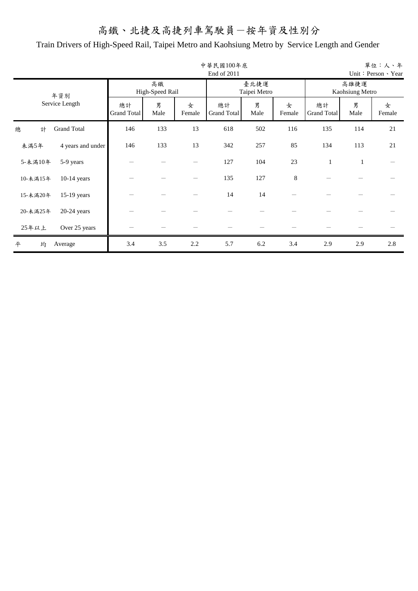|          |                    |                          |                       |             | 中華民國100年底<br>End of 2011 |                      |             |                          |                         | 單位:人、年<br>Unit: Person > Year |
|----------|--------------------|--------------------------|-----------------------|-------------|--------------------------|----------------------|-------------|--------------------------|-------------------------|-------------------------------|
|          | 年資別                |                          | 高鐵<br>High-Speed Rail |             |                          | 臺北捷運<br>Taipei Metro |             |                          | 高雄捷運<br>Kaohsiung Metro |                               |
|          | Service Length     | 總計<br><b>Grand Total</b> | 男<br>Male             | 女<br>Female | 總計<br>Grand Total        | 男<br>Male            | 女<br>Female | 總計<br><b>Grand Total</b> | 男<br>Male               | 女<br>Female                   |
| 總<br>計   | <b>Grand Total</b> | 146                      | 133                   | 13          | 618                      | 502                  | 116         | 135                      | 114                     | 21                            |
| 未滿5年     | 4 years and under  | 146                      | 133                   | 13          | 342                      | 257                  | 85          | 134                      | 113                     | 21                            |
| 5-未滿10年  | 5-9 years          |                          |                       |             | 127                      | 104                  | 23          | $\mathbf{1}$             | $\mathbf{1}$            |                               |
| 10-未滿15年 | $10-14$ years      |                          |                       |             | 135                      | 127                  | 8           |                          |                         |                               |
| 15-未滿20年 | $15-19$ years      |                          |                       |             | 14                       | 14                   |             |                          |                         |                               |
| 20-未滿25年 | $20-24$ years      |                          |                       |             |                          |                      |             |                          |                         |                               |
| 25年以上    | Over 25 years      |                          |                       |             |                          |                      |             |                          |                         |                               |
| 均<br>平   | Average            | 3.4                      | 3.5                   | 2.2         | 5.7                      | 6.2                  | 3.4         | 2.9                      | 2.9                     | 2.8                           |